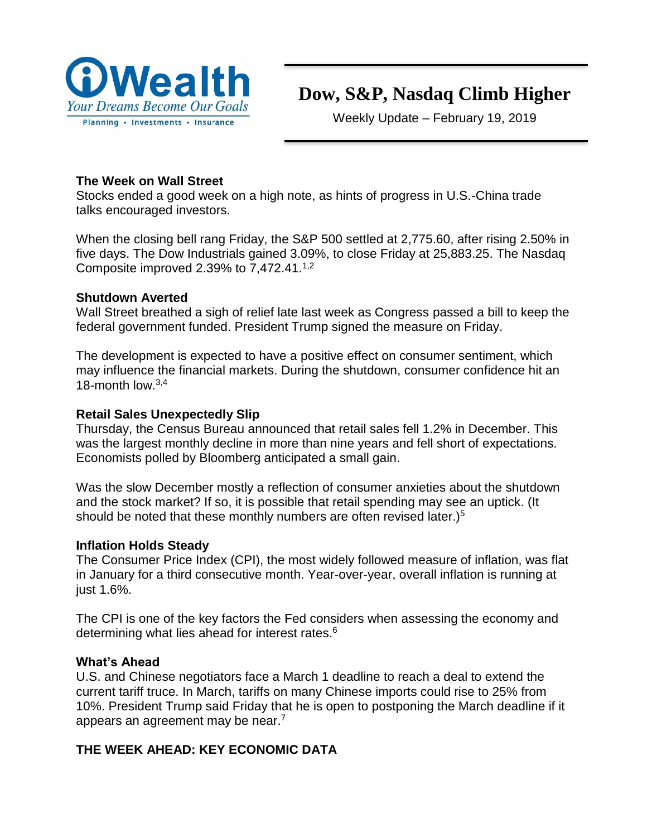

# **Dow, S&P, Nasdaq Climb Higher**

Weekly Update – February 19, 2019

## **The Week on Wall Street**

Stocks ended a good week on a high note, as hints of progress in U.S.-China trade talks encouraged investors.

When the closing bell rang Friday, the S&P 500 settled at 2,775.60, after rising 2.50% in five days. The Dow Industrials gained 3.09%, to close Friday at 25,883.25. The Nasdaq Composite improved 2.39% to  $7,472.41^{1,2}$ 

## **Shutdown Averted**

Wall Street breathed a sigh of relief late last week as Congress passed a bill to keep the federal government funded. President Trump signed the measure on Friday.

The development is expected to have a positive effect on consumer sentiment, which may influence the financial markets. During the shutdown, consumer confidence hit an 18-month low.3,4

# **Retail Sales Unexpectedly Slip**

Thursday, the Census Bureau announced that retail sales fell 1.2% in December. This was the largest monthly decline in more than nine years and fell short of expectations. Economists polled by Bloomberg anticipated a small gain.

Was the slow December mostly a reflection of consumer anxieties about the shutdown and the stock market? If so, it is possible that retail spending may see an uptick. (It should be noted that these monthly numbers are often revised later.)<sup>5</sup>

# **Inflation Holds Steady**

The Consumer Price Index (CPI), the most widely followed measure of inflation, was flat in January for a third consecutive month. Year-over-year, overall inflation is running at just 1.6%.

The CPI is one of the key factors the Fed considers when assessing the economy and determining what lies ahead for interest rates.<sup>6</sup>

# **What's Ahead**

U.S. and Chinese negotiators face a March 1 deadline to reach a deal to extend the current tariff truce. In March, tariffs on many Chinese imports could rise to 25% from 10%. President Trump said Friday that he is open to postponing the March deadline if it appears an agreement may be near.<sup>7</sup>

# **THE WEEK AHEAD: KEY ECONOMIC DATA**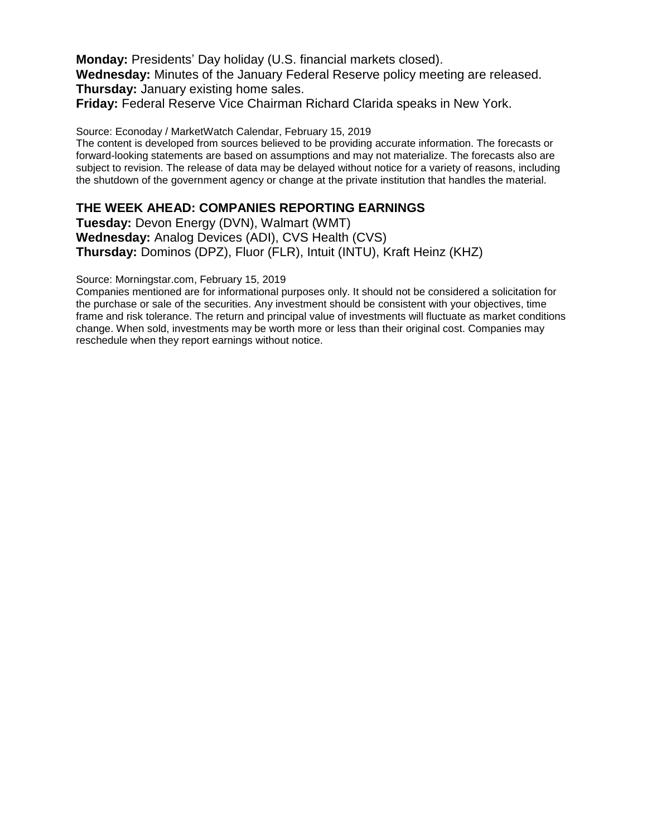**Monday:** Presidents' Day holiday (U.S. financial markets closed).

**Wednesday:** Minutes of the January Federal Reserve policy meeting are released. **Thursday:** January existing home sales.

**Friday:** Federal Reserve Vice Chairman Richard Clarida speaks in New York.

Source: Econoday / MarketWatch Calendar, February 15, 2019

The content is developed from sources believed to be providing accurate information. The forecasts or forward-looking statements are based on assumptions and may not materialize. The forecasts also are subject to revision. The release of data may be delayed without notice for a variety of reasons, including the shutdown of the government agency or change at the private institution that handles the material.

### **THE WEEK AHEAD: COMPANIES REPORTING EARNINGS**

**Tuesday:** Devon Energy (DVN), Walmart (WMT) **Wednesday:** Analog Devices (ADI), CVS Health (CVS) **Thursday:** Dominos (DPZ), Fluor (FLR), Intuit (INTU), Kraft Heinz (KHZ)

Source: Morningstar.com, February 15, 2019

Companies mentioned are for informational purposes only. It should not be considered a solicitation for the purchase or sale of the securities. Any investment should be consistent with your objectives, time frame and risk tolerance. The return and principal value of investments will fluctuate as market conditions change. When sold, investments may be worth more or less than their original cost. Companies may reschedule when they report earnings without notice.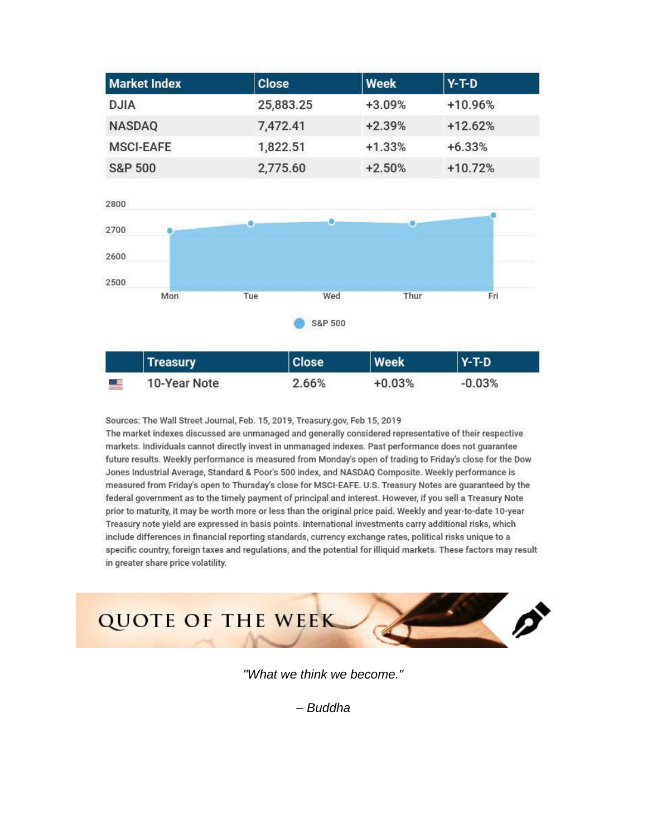| <b>Market Index</b> | <b>Close</b> | Week     | $ Y-T-D $ |
|---------------------|--------------|----------|-----------|
| <b>DJIA</b>         | 25,883.25    | $+3.09%$ | $+10.96%$ |
| <b>NASDAQ</b>       | 7,472.41     | $+2.39%$ | $+12.62%$ |
| <b>MSCI-EAFE</b>    | 1,822.51     | $+1.33%$ | $+6.33%$  |
| <b>S&amp;P 500</b>  | 2,775.60     | $+2.50%$ | $+10.72%$ |



Sources: The Wall Street Journal, Feb. 15, 2019, Treasury.gov, Feb 15, 2019 The market indexes discussed are unmanaged and generally considered representative of their respective markets. Individuals cannot directly invest in unmanaged indexes. Past performance does not guarantee future results. Weekly performance is measured from Monday's open of trading to Friday's close for the Dow Jones Industrial Average, Standard & Poor's 500 index, and NASDAQ Composite. Weekly performance is measured from Friday's open to Thursday's close for MSCI-EAFE. U.S. Treasury Notes are quaranteed by the federal government as to the timely payment of principal and interest. However, if you sell a Treasury Note prior to maturity, it may be worth more or less than the original price paid. Weekly and year-to-date 10-year Treasury note yield are expressed in basis points. International investments carry additional risks, which include differences in financial reporting standards, currency exchange rates, political risks unique to a specific country, foreign taxes and regulations, and the potential for illiquid markets. These factors may result in greater share price volatility.



*"What we think we become."*

*– Buddha*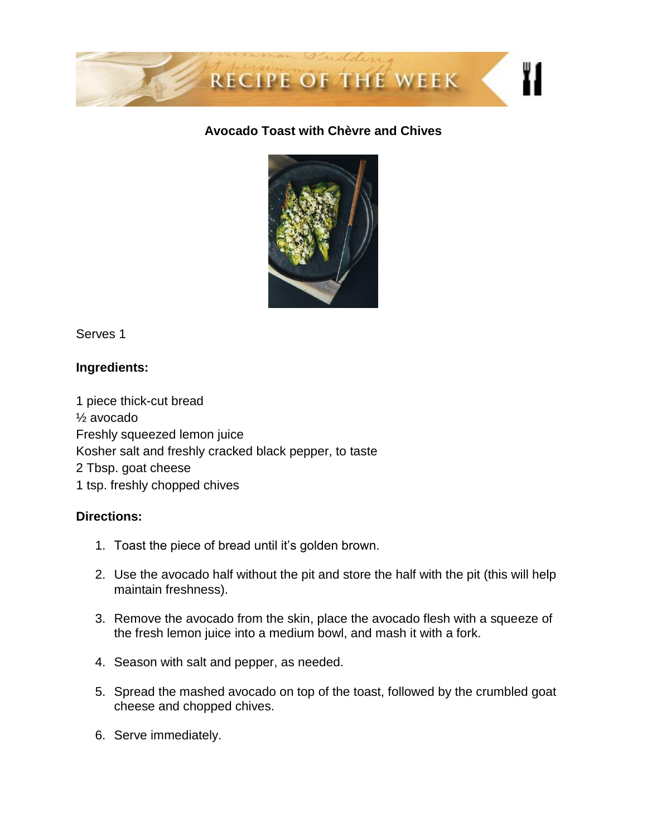

# **Avocado Toast with Chèvre and Chives**



Serves 1

# **Ingredients:**

1 piece thick-cut bread ½ avocado Freshly squeezed lemon juice Kosher salt and freshly cracked black pepper, to taste 2 Tbsp. goat cheese 1 tsp. freshly chopped chives

## **Directions:**

- 1. Toast the piece of bread until it's golden brown.
- 2. Use the avocado half without the pit and store the half with the pit (this will help maintain freshness).
- 3. Remove the avocado from the skin, place the avocado flesh with a squeeze of the fresh lemon juice into a medium bowl, and mash it with a fork.
- 4. Season with salt and pepper, as needed.
- 5. Spread the mashed avocado on top of the toast, followed by the crumbled goat cheese and chopped chives.
- 6. Serve immediately.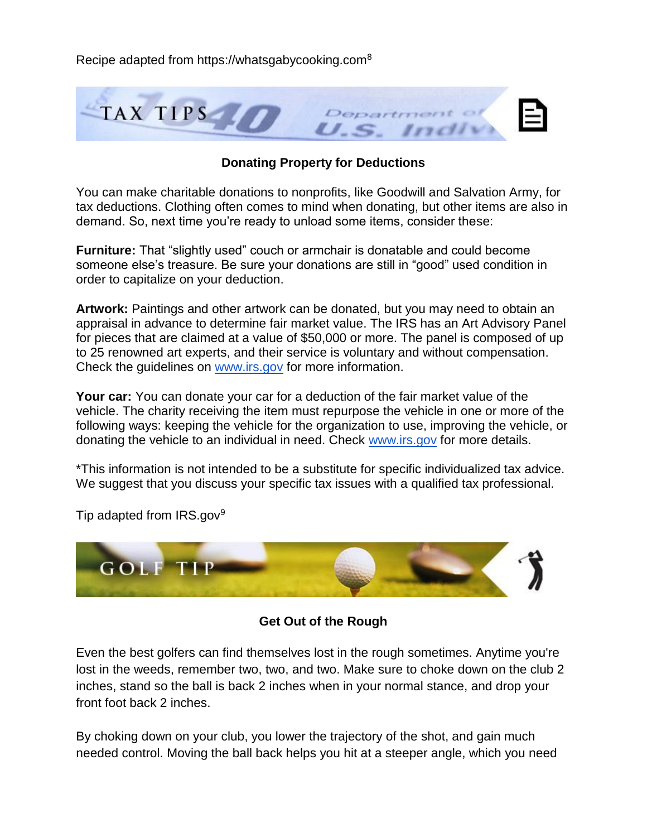

### **Donating Property for Deductions**

You can make charitable donations to nonprofits, like Goodwill and Salvation Army, for tax deductions. Clothing often comes to mind when donating, but other items are also in demand. So, next time you're ready to unload some items, consider these:

**Furniture:** That "slightly used" couch or armchair is donatable and could become someone else's treasure. Be sure your donations are still in "good" used condition in order to capitalize on your deduction.

**Artwork:** Paintings and other artwork can be donated, but you may need to obtain an appraisal in advance to determine fair market value. The IRS has an Art Advisory Panel for pieces that are claimed at a value of \$50,000 or more. The panel is composed of up to 25 renowned art experts, and their service is voluntary and without compensation. Check the guidelines on [www.irs.gov](http://www.irs.gov/) for more information.

**Your car:** You can donate your car for a deduction of the fair market value of the vehicle. The charity receiving the item must repurpose the vehicle in one or more of the following ways: keeping the vehicle for the organization to use, improving the vehicle, or donating the vehicle to an individual in need. Check [www.irs.gov](http://www.irs.gov/) for more details.

\*This information is not intended to be a substitute for specific individualized tax advice. We suggest that you discuss your specific tax issues with a qualified tax professional.



Tip adapted from IRS.gov<sup>9</sup>

**Get Out of the Rough**

Even the best golfers can find themselves lost in the rough sometimes. Anytime you're lost in the weeds, remember two, two, and two. Make sure to choke down on the club 2 inches, stand so the ball is back 2 inches when in your normal stance, and drop your front foot back 2 inches.

By choking down on your club, you lower the trajectory of the shot, and gain much needed control. Moving the ball back helps you hit at a steeper angle, which you need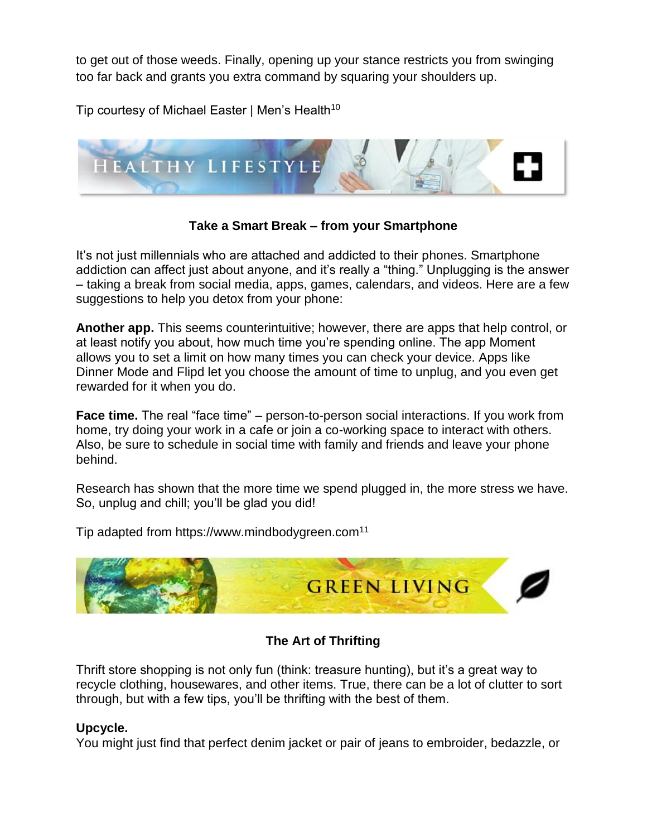to get out of those weeds. Finally, opening up your stance restricts you from swinging too far back and grants you extra command by squaring your shoulders up.

Tip courtesy of Michael Easter | Men's Health<sup>10</sup>



## **Take a Smart Break – from your Smartphone**

It's not just millennials who are attached and addicted to their phones. Smartphone addiction can affect just about anyone, and it's really a "thing." Unplugging is the answer – taking a break from social media, apps, games, calendars, and videos. Here are a few suggestions to help you detox from your phone:

**Another app.** This seems counterintuitive; however, there are apps that help control, or at least notify you about, how much time you're spending online. The app Moment allows you to set a limit on how many times you can check your device. Apps like Dinner Mode and Flipd let you choose the amount of time to unplug, and you even get rewarded for it when you do.

**Face time.** The real "face time" – person-to-person social interactions. If you work from home, try doing your work in a cafe or join a co-working space to interact with others. Also, be sure to schedule in social time with family and friends and leave your phone behind.

Research has shown that the more time we spend plugged in, the more stress we have. So, unplug and chill; you'll be glad you did!

Tip adapted from https://www.mindbodygreen.com<sup>11</sup>



# **The Art of Thrifting**

Thrift store shopping is not only fun (think: treasure hunting), but it's a great way to recycle clothing, housewares, and other items. True, there can be a lot of clutter to sort through, but with a few tips, you'll be thrifting with the best of them.

# **Upcycle.**

You might just find that perfect denim jacket or pair of jeans to embroider, bedazzle, or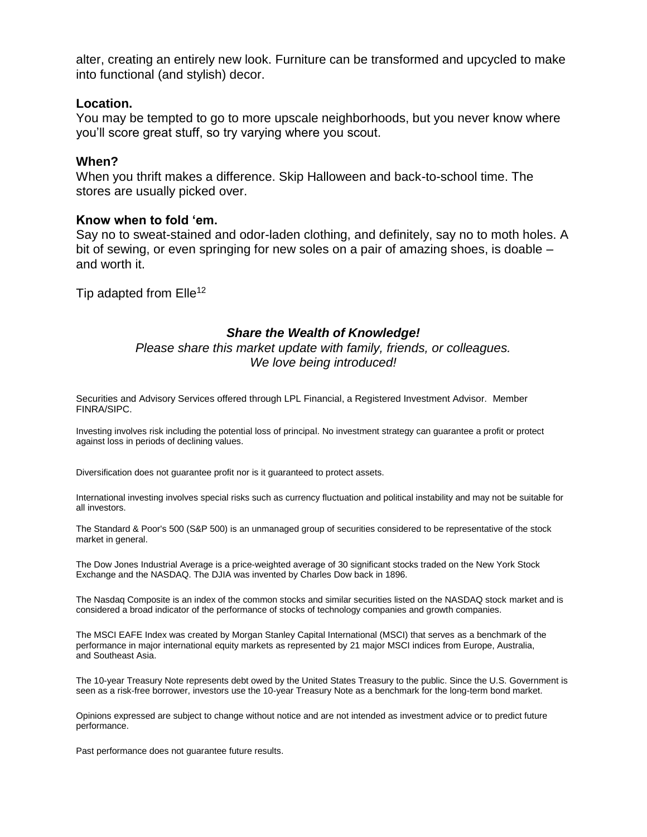alter, creating an entirely new look. Furniture can be transformed and upcycled to make into functional (and stylish) decor.

#### **Location.**

You may be tempted to go to more upscale neighborhoods, but you never know where you'll score great stuff, so try varying where you scout.

#### **When?**

When you thrift makes a difference. Skip Halloween and back-to-school time. The stores are usually picked over.

#### **Know when to fold 'em.**

Say no to sweat-stained and odor-laden clothing, and definitely, say no to moth holes. A bit of sewing, or even springing for new soles on a pair of amazing shoes, is doable – and worth it.

Tip adapted from  $Elle^{12}$ 

#### *Share the Wealth of Knowledge!*

#### *Please share this market update with family, friends, or colleagues. We love being introduced!*

Securities and Advisory Services offered through LPL Financial, a Registered Investment Advisor. Member FINRA/SIPC.

Investing involves risk including the potential loss of principal. No investment strategy can guarantee a profit or protect against loss in periods of declining values.

Diversification does not guarantee profit nor is it guaranteed to protect assets.

International investing involves special risks such as currency fluctuation and political instability and may not be suitable for all investors.

The Standard & Poor's 500 (S&P 500) is an unmanaged group of securities considered to be representative of the stock market in general.

The Dow Jones Industrial Average is a price-weighted average of 30 significant stocks traded on the New York Stock Exchange and the NASDAQ. The DJIA was invented by Charles Dow back in 1896.

The Nasdaq Composite is an index of the common stocks and similar securities listed on the NASDAQ stock market and is considered a broad indicator of the performance of stocks of technology companies and growth companies.

The MSCI EAFE Index was created by Morgan Stanley Capital International (MSCI) that serves as a benchmark of the performance in major international equity markets as represented by 21 major MSCI indices from Europe, Australia, and Southeast Asia.

The 10-year Treasury Note represents debt owed by the United States Treasury to the public. Since the U.S. Government is seen as a risk-free borrower, investors use the 10-year Treasury Note as a benchmark for the long-term bond market.

Opinions expressed are subject to change without notice and are not intended as investment advice or to predict future performance.

Past performance does not guarantee future results.